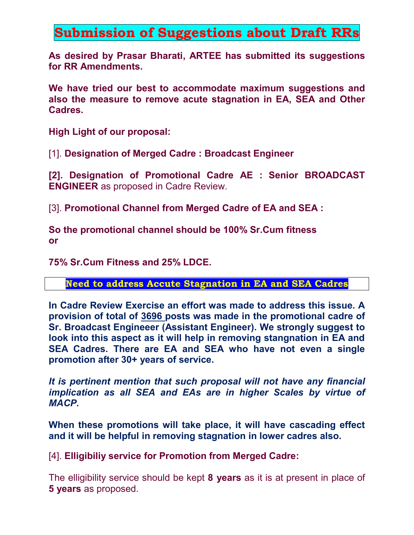## **Submission of Suggestions about Draft RRs**

**As desired by Prasar Bharati, ARTEE has submitted its suggestions for RR Amendments.** 

**We have tried our best to accommodate maximum suggestions and also the measure to remove acute stagnation in EA, SEA and Other Cadres.** 

**High Light of our proposal:** 

[1]. **Designation of Merged Cadre : Broadcast Engineer** 

**[2]. Designation of Promotional Cadre AE : Senior BROADCAST ENGINEER** as proposed in Cadre Review.

[3]. **Promotional Channel from Merged Cadre of EA and SEA :**

**So the promotional channel should be 100% Sr.Cum fitness or** 

**75% Sr.Cum Fitness and 25% LDCE.** 

**Need to address Accute Stagnation in EA and SEA Cadres**

**In Cadre Review Exercise an effort was made to address this issue. A provision of total of 3696 posts was made in the promotional cadre of Sr. Broadcast Engineeer (Assistant Engineer). We strongly suggest to look into this aspect as it will help in removing stangnation in EA and SEA Cadres. There are EA and SEA who have not even a single promotion after 30+ years of service.** 

*It is pertinent mention that such proposal will not have any financial implication as all SEA and EAs are in higher Scales by virtue of MACP.* 

**When these promotions will take place, it will have cascading effect and it will be helpful in removing stagnation in lower cadres also.** 

[4]. **Elligibiliy service for Promotion from Merged Cadre:**

The elligibility service should be kept **8 years** as it is at present in place of **5 years** as proposed.